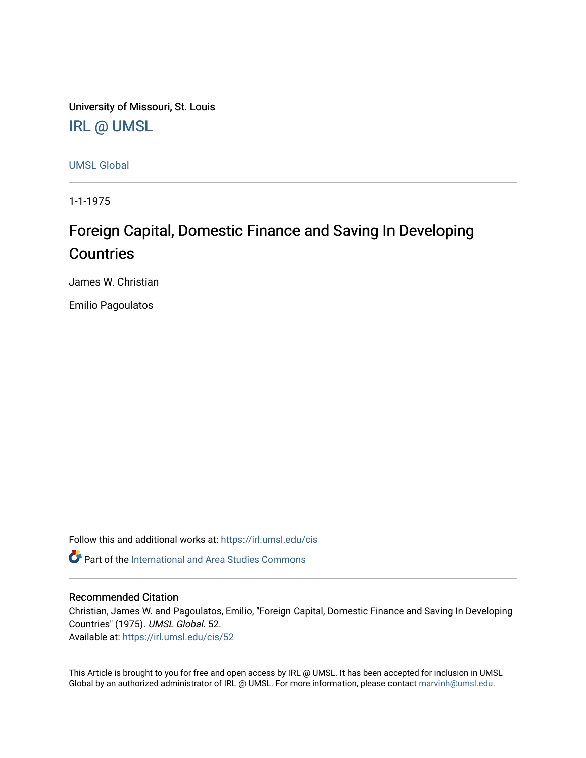University of Missouri, St. Louis [IRL @ UMSL](https://irl.umsl.edu/) 

[UMSL Global](https://irl.umsl.edu/cis)

1-1-1975

# Foreign Capital, Domestic Finance and Saving In Developing **Countries**

James W. Christian

Emilio Pagoulatos

Follow this and additional works at: [https://irl.umsl.edu/cis](https://irl.umsl.edu/cis?utm_source=irl.umsl.edu%2Fcis%2F52&utm_medium=PDF&utm_campaign=PDFCoverPages) 

 $\bullet$  Part of the International and Area Studies Commons

### Recommended Citation

Christian, James W. and Pagoulatos, Emilio, "Foreign Capital, Domestic Finance and Saving In Developing Countries" (1975). UMSL Global. 52.

Available at: [https://irl.umsl.edu/cis/52](https://irl.umsl.edu/cis/52?utm_source=irl.umsl.edu%2Fcis%2F52&utm_medium=PDF&utm_campaign=PDFCoverPages) 

This Article is brought to you for free and open access by IRL @ UMSL. It has been accepted for inclusion in UMSL Global by an authorized administrator of IRL @ UMSL. For more information, please contact [marvinh@umsl.edu](mailto:marvinh@umsl.edu).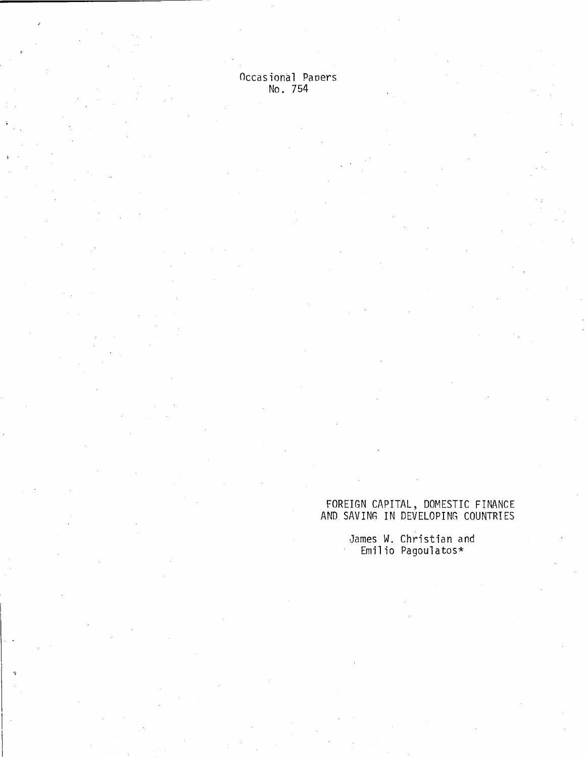Occasional Paoers No. 754

#### FOREIGN CAPITAL, DOMESTIC FINANCE AND SAVING IN DEVELOPING COUNTRIES

James W. Christian and Emilio Pagoulatos\*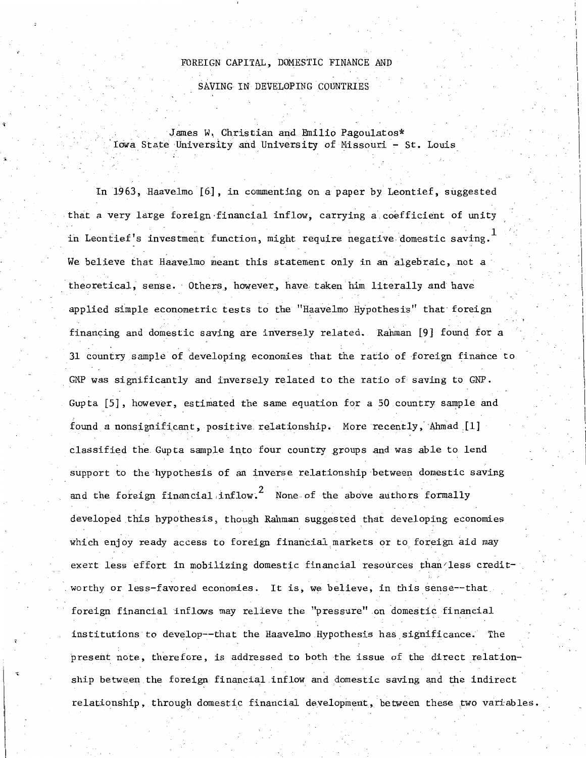## FOREIGN CAPITAL, DOMESTIC FINANCE AND

SAVING IN DEVELOPING COUNTRIES

James W. Christian and Emilio Pagoulatos\* Iowa State University and University of Missouri - St. Louis

In 1963, Haavelmo  $[6]$ , in commenting on a paper by Leontief, suggested that a very large foreign·financial inflow, carrying a coefficient of unity in Leontief's investment function, might require negative domestic saving.<sup>1</sup> We believe that Haavelmo meant this statement only in an algebraic, not a theoretical, sense. Others., however., have taken him literally and have applied simple econometric tests to the "Haavelmo Hypothesis" that foreign financing and domestic saving are inversely related. Rahman [9] found for a 31 country sample of developing economies that the ratio of foreign finance to GNP was significantly and inversely related to the ratio of saving to GNP. Gupta  $[5]$ , however, estimated the same equation for a 50 country sample and found a nonsignificant, positive relationship. More recently, Ahmad [1] classified the. Gupta sample into four country groups and was able to lend support to the hypothesis of an inverse relationship between domestic saving and the foreign financial inflow.<sup>2</sup> None of the above authors formally developed.this hypothesis, though Rahman suggested that developing economies which enjoy ready access to foreign financial. markets or to foreign aid may exert less effort in mobilizing domestic financial resources than/less credit-. worthy or less-favored economies. It is, we believe, in this sense--that foreign financial inflows may relieve the "pressure" on domestic financial institutions to develop--that the Haavelmo Hypothesis has significance. The present note, therefore, is addressed to both the issue of the direct relationship between the foreign financial inflow and domestic saving and the indirect relationship, through domestic financial development, between these two variables.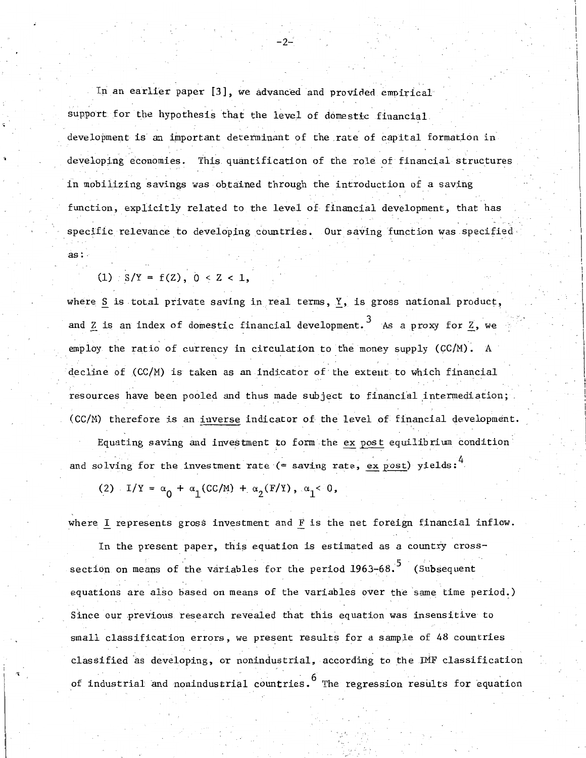In an earlier paper  $[3]$ , we advanced and provided empirical support for the hypothesis that the level of domestic financial. development is an important determinant of the rate of capital formation in developing economies. This quantification of the role of financial structures in mobilizing savings was obtained through the introduction of a saving function, explicitly related to the level of financial development, that has specific relevance to developing countries. Our saving function was specified as: -

 $(1)$   $S/Y = f(Z)$ ,  $0 < Z < 1$ ,

where  $S$  is total private saving in real terms,  $Y$ , is gross national product, and  $\frac{z}{z}$  is an index of domestic financial development.<sup>3</sup> As a proxy for  $\frac{z}{z}$ , we employ the ratio of currency in circulation to the money supply  $(CC/M)$ . A decline of (CC/M) is taken as an indicator of the extent to which financial resources have been pooled and thus made subject to financial intermediation; (CC/M) therefore is an inverse indicator of the level of financial development.

Equating saving and investment to form the ex post equilibrium condition· and solving for the investment rate (= saving rate, ex post) yields:  $4$ 

(2)  $I/Y = \alpha_0 + \alpha_1 (CC/M) + \alpha_2 (F/Y), \alpha_1 < 0,$ 

where I represents gross investment and  $\vec{F}$  is the net foreign financial inflow.

In the present paper, this equation is estimated as a country crosssection on means of the variables for the period  $1963-68$ .<sup>5</sup> (Subsequent equations are also based on means of the variables over the same time period:) Since our previous research revealed that this equation was insensitive to small classification errors, we present results for a sample of 48 countries classified as developing, or nonindustrial, according to the IMF classification of industrial and nonindustrial countries.  $6$  The regression results for equation

-2-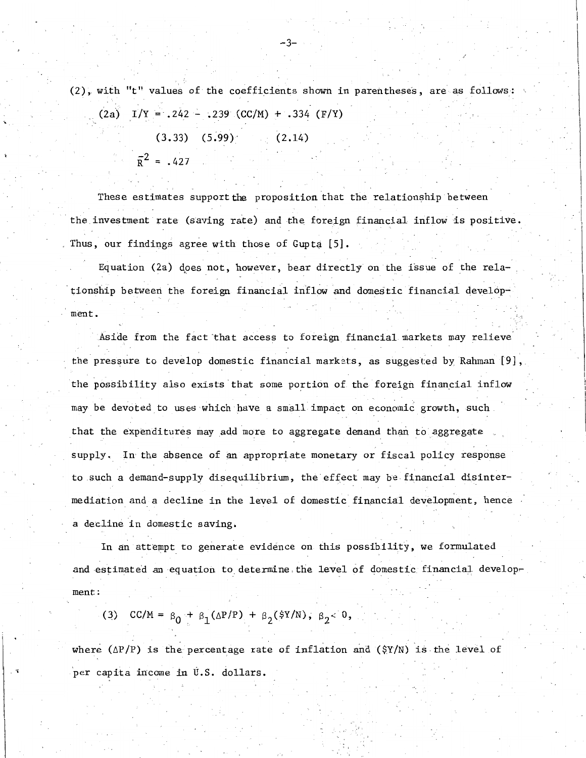(2), with "t" values of the coefficients shown in parentheses, are as follows:  $(2a)$  I/Y = .242 - .239 (CC/M) + .334 (F/Y)  $(3.33)$   $(5.99)$   $(2.14)$  $\bar{R}^2$  = .427

These estimates support the proposition that the relationship between · the investment rate (saving rate) and the foreign financial inflow is positive. Thus, our findings agree with those of Gupta  $[5]$ .

Equation (2a) does not, however, bear directly on the issue of the relationship between the foreign financial inflow and domestic financial development.

Aside from the fact "that access to foreign financial markets may relieve the pressure to develop domestic financial markets, as suggested by Rahman  $[9]$ , the possibility also exists that some portion of the foreign financial inflow may be devoted to uses which have a small impact on economic growth, such that the expenditures may add more to aggregate demand than to aggregate supply. In the absence of an appropriate monetary or fiscal policy response to such a demand-supply disequilibrium, the effect may be financial disintermediation and a decline in the level of domestic financial development, hence a decline in domestic saving,

In an attempt to generate evidence on this possibility, we formulated and estimated an equation to determine the level of domestic financial development:

(3)  $CC/M = \beta_0 + \beta_1(\Delta P/P) + \beta_2(SY/N)$ ,  $\beta_2 < 0$ ,

where  $(\Delta P/P)$  is the percentage rate of inflation and  $(SY/N)$  is the level of per capita income in U.S. dollars.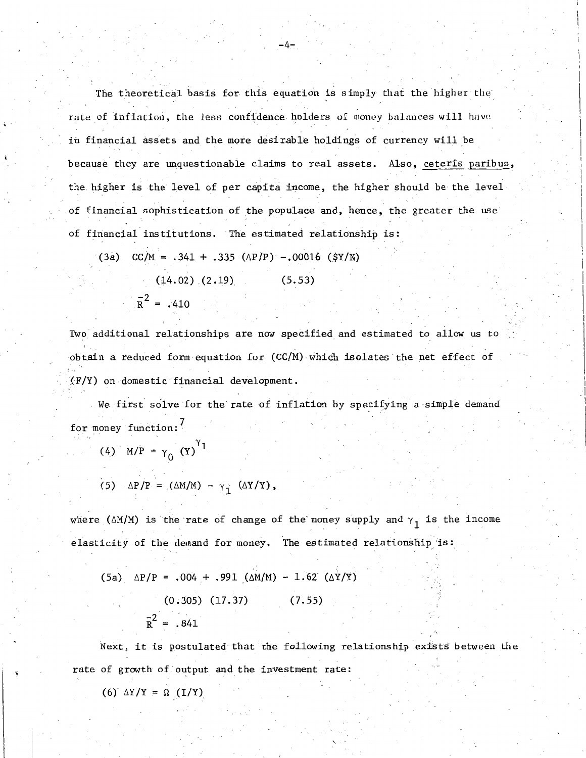The theoretical basis for this equation is simply that the higher the rate of inflation, the less confidence holders of money balances will have in financial assets and the more desirable holdings of currency will be because they are unquestionable claims to real assets. Also, ceteris paribus, the higher is the level of per capita income, the higher should be the level of financial sophistication of the populace and, hence, the greater the use of financial institutions. The estimated relationship is:

-4-

(3a) 
$$
CC/M = .341 + .335 \ (\Delta P/P) - .00016 \ (SY/N)
$$
  
\n(14.02) (2.19) (5.53)  
\n $\overline{R}^2 = .410$ 

Two additional relationships are now specified and estimated to allow us to obtain a reduced form equation for (CC/M) which isolates the net effect of (F/Y) on domestic financial development.

We first solve for the rate of inflation by specifying a simple demand for money function:  $^7$  $^{\prime}1$ 

(4) 
$$
M/P = \gamma_0 (Y)^{-1}
$$

$$
(5) \quad \Delta P/P = (\Delta M/M) - \gamma_1 \quad (\Delta Y/Y),
$$

where ( $\triangle M/M$ ) is the rate of change of the money supply and  $\gamma_1$  is the income elasticity of the demand for money. The estimated relationship 'is:

$$
(5a) \Delta P/P = .004 + .991 (\Delta M/M) - 1.62 (\Delta Y/Y)
$$
  

$$
(0.305) (17.37) (7.55)
$$
  

$$
\overline{R}^{2} = .841
$$

Next, it is postulated that the following relationship exists between the rate of growth of output and the investment rate:

(6)  $\Delta Y/Y = \Omega$  (I/Y)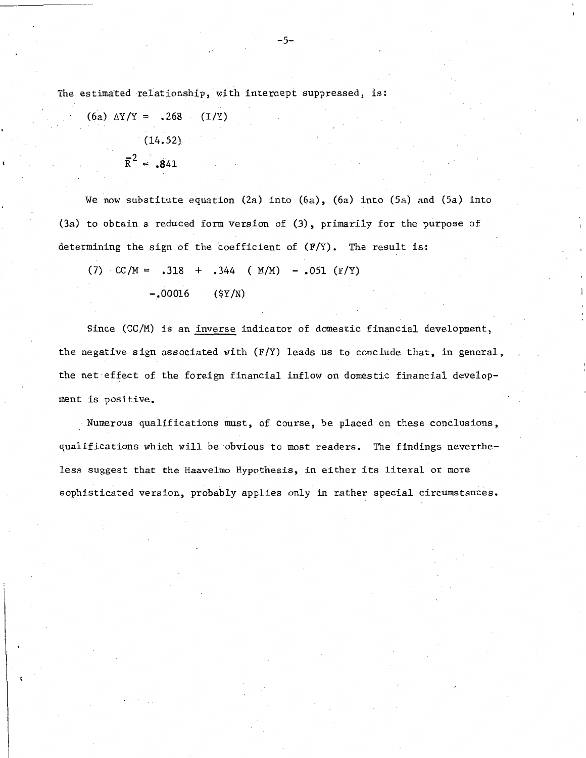The estimated relationship, with intercept suppressed, is:

$$
(6a) \Delta Y/Y = .268 \qquad (I/Y)
$$

$$
(14.52)
$$

$$
\overline{R}^2 = .841
$$

We now substitute equation (2a) into  $(6a)$ ,  $(6a)$  into  $(5a)$  and  $(5a)$  into (3a) to obtain a reduced form version of (3), primarily for the purpose of determining the sign of the coefficient of  $(F/Y)$ . The result is:

 $(C/N = .318 + .344 (M/M) - .051 (F/Y)$  $-.00016$  (\$Y/N)

Since (CC/M) is an inverse indicator of domestic financial development, the negative sign associated with (F/Y) leads us to conclude that, in general, the net effect of the foreign financial inflow on domestic financial development is positive.

Numerous qualifications must, of course, be placed on these conclusions, qualifications which will be obvious to most readers. The findings nevertheless suggest that the Haavelmo Hypothesis, in either its literal or more sophisticated version, probably applies only in rather special circumstances.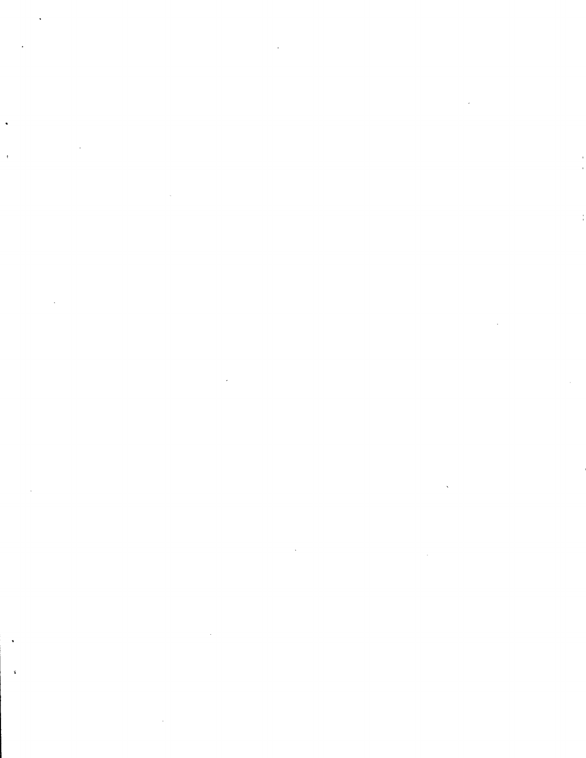$\mathcal{F}_{\text{max}}$  $\label{eq:2.1} \frac{1}{\sqrt{2}}\int_{\mathbb{R}^3}\frac{1}{\sqrt{2}}\left(\frac{1}{\sqrt{2}}\right)^2\left(\frac{1}{\sqrt{2}}\right)^2\left(\frac{1}{\sqrt{2}}\right)^2\left(\frac{1}{\sqrt{2}}\right)^2\left(\frac{1}{\sqrt{2}}\right)^2\left(\frac{1}{\sqrt{2}}\right)^2\left(\frac{1}{\sqrt{2}}\right)^2\left(\frac{1}{\sqrt{2}}\right)^2\left(\frac{1}{\sqrt{2}}\right)^2\left(\frac{1}{\sqrt{2}}\right)^2\left(\frac{1}{\sqrt{2}}\right)^2\left(\frac$  $\frac{1}{2}$  $\label{eq:2.1} \frac{1}{\sqrt{2}}\int_{0}^{\infty}\frac{1}{\sqrt{2\pi}}\left(\frac{1}{\sqrt{2}}\right)^{2}d\mu\left(\frac{1}{\sqrt{2}}\right)dx$  $\label{eq:2.1} \frac{1}{\sqrt{2}}\int_{\mathbb{R}^3}\frac{1}{\sqrt{2}}\left(\frac{1}{\sqrt{2}}\right)^2\frac{1}{\sqrt{2}}\left(\frac{1}{\sqrt{2}}\right)^2\frac{1}{\sqrt{2}}\left(\frac{1}{\sqrt{2}}\right)^2\frac{1}{\sqrt{2}}\left(\frac{1}{\sqrt{2}}\right)^2.$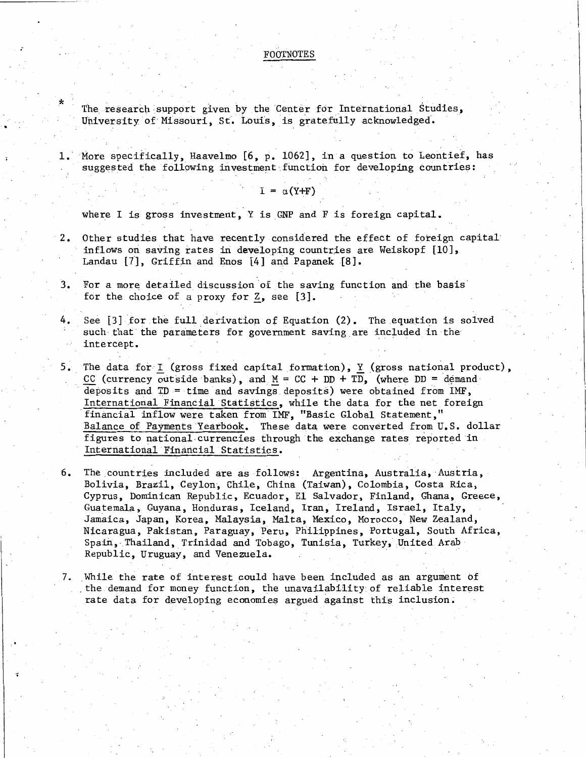#### FOOTNOTES

The research support given by the Center for International Studies, University of Missouri, St. Louis, is gratefully acknowledged.

\*

1. More specifically, Haavelmo [6, p. 1062], in a question to Leontief, has suggested the following investment function for developing countries:

## $I = \alpha(Y+F)$

where I is gross investment, Y is GNP and F is foreign capital.

- 2. Other studies that have recently considered the effect of foreign capital inflows on saving rates in developing countries are Weiskopf  $[10]$ , Landau  $[7]$ , Griffin and Enos  $[4]$  and Papanek  $[8]$ .
- 3. For a more detailed discussion of the saving function and the basis for the choice of a proxy for  $Z$ , see  $[3]$ .
- 4. See  $\lceil 3 \rceil$  for the full derivation of Equation (2). The equation is solved such that the parameters for government saving are included in theintercept.
- 5. The data for I (gross fixed capital formation),  $Y$  (gross national product), CC (currency outside banks), and  $M = CC + DD + TD$ , (where DD = demand deposits and  $TD =$  time and savings deposits) were obtained from  $IMF$ , International Financial Statistics, while the data for the net foreign ·financial inflow were taken from IMF, "Basic Global Statement," Balance of Payments Yearbook. These data were converted from U.S. dollar figures to national- currencies through the exchange rates reported in International Financial Statistics.
- 6. The countries included are as follows: Argentina, Australia, Austria, Bolivia, Brazil, Ceylon, Chile, China (Taiwan), Colombia, Costa Rica, Cyprus, Dominican Republic, Ecuador, El Salvador, Finland, Ghana, Greece, Guatemala, Guyana, Honduras, Iceland, Iran, Ireland, Israel, Italy, Jamaica, Japan, Korea, Malaysia, Malta, Mexico, Morocco, New Zealand, Nicaragua, Pakistan, Paraguay, Peru, Philippines, Portugal, South Africa, Spain,- Thailand, Trinidad and Tobago, Tunisia, Turkey, United Arab Republic, Uruguay, and Venezuela.
- 7. While the rate of interest could have been included as an argument of . the demand for money function, the unavailability of reliable interest rate data for developing economies argued against this inclusion.